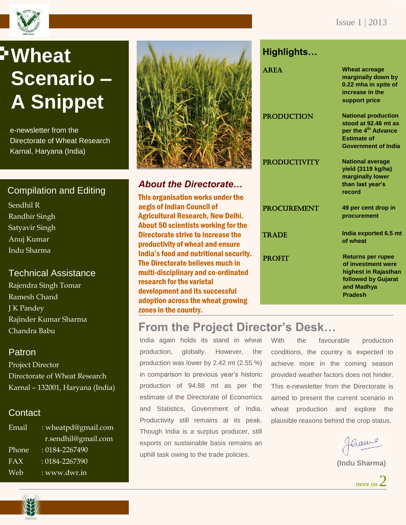

# **Wheat Scenario – A Snippet**

e-newsletter from the Directorate of Wheat Research Karnal, Haryana (India)

# Compilation and Editing

Sendhil R Randhir Singh Satyavir Singh Anuj Kumar Indu Sharma

#### Technical Assistance

Rajendra Singh Tomar Ramesh Chand J K Pandey Rajinder Kumar Sharma Chandra Babu

#### Patron

Project Director Directorate of Wheat Research Karnal – 132001, Haryana (India)

#### Contact

| Email | : wheatpd@gmail.com |
|-------|---------------------|
|       | r.sendhil@gmail.com |
| Phone | : 0184-2267490      |
| FAX   | $: 0184 - 2267390$  |
| Web   | : www.dwr.in        |



#### *About the Directorate…*

This organisation works under the aegis of Indian Council of Agricultural Research, New Delhi. About 50 scientists working for the Directorate strive to increase the productivity of wheat and ensure India's food and nutritional security. The Directorate believes much in multi-disciplinary and co-ordinated research for the varietal development and its successful adoption across the wheat growing zones in the country.

### **Highlights…**

| <b>AREA</b>         | <b>Wheat acreage</b><br>marginally down by<br>0.22 mha in spite of<br>increase in the<br>support price                                    |
|---------------------|-------------------------------------------------------------------------------------------------------------------------------------------|
| <b>PRODUCTION</b>   | <b>National production</b><br>stood at 92.46 mt as<br>per the 4 <sup>th</sup> Advance<br><b>Estimate of</b><br><b>Government of India</b> |
| <b>PRODUCTIVITY</b> | <b>National average</b><br>yield (3119 kg/ha)<br>marginally lower<br>than last year's<br>record                                           |
| <b>PROCUREMENT</b>  | 49 per cent drop in<br>procurement                                                                                                        |
| <b>TRADE</b>        | India exported 6.5 mt<br>of wheat                                                                                                         |
| <b>PROFIT</b>       | <b>Returns per rupee</b><br>of investment were<br>highest in Rajasthan<br>followed by Gujarat<br>and Madhya<br><b>Pradesh</b>             |

# **From the Project Director's Desk…**

India again holds its stand in wheat production, globally. However, the production was lower by 2.42 mt (2.55 %) in comparison to previous year's historic production of 94.88 mt as per the estimate of the Directorate of Economics and Statistics, Government of India. Productivity still remains at its peak. Though India is a surplus producer, still exports on sustainable basis remains an uphill task owing to the trade policies.

With the favourable production conditions, the country is expected to achieve more in the coming season provided weather factors does not hinder. This e-newsletter from the Directorate is aimed to present the current scenario in wheat production and explore the plausible reasons behind the crop status.

Craeme

**(Indu Sharma)**



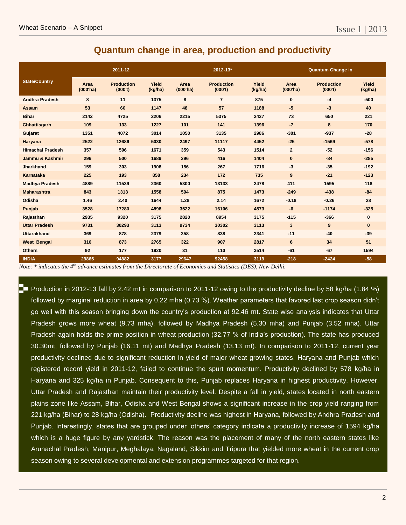#### **Quantum change in area, production and productivity**

|                         |                     | 2011-12                      |                  |                     | 2012-13*                     |                  |                               | <b>Quantum Change in</b>     |                  |
|-------------------------|---------------------|------------------------------|------------------|---------------------|------------------------------|------------------|-------------------------------|------------------------------|------------------|
| <b>State/Country</b>    | Area<br>$(000'$ ha) | <b>Production</b><br>(000't) | Yield<br>(kg/ha) | Area<br>$(000'$ ha) | <b>Production</b><br>(000't) | Yield<br>(kg/ha) | Area<br>(000 <sup>th</sup> a) | <b>Production</b><br>(000't) | Yield<br>(kg/ha) |
| <b>Andhra Pradesh</b>   | 8                   | 11                           | 1375             | 8                   | $\overline{7}$               | 875              | $\pmb{0}$                     | $-4$                         | $-500$           |
| <b>Assam</b>            | 53                  | 60                           | 1147             | 48                  | 57                           | 1188             | $-5$                          | $-3$                         | 40               |
| <b>Bihar</b>            | 2142                | 4725                         | 2206             | 2215                | 5375                         | 2427             | 73                            | 650                          | 221              |
| Chhattisgarh            | 109                 | 133                          | 1227             | 101                 | 141                          | 1396             | $-7$                          | 8                            | 170              |
| Gujarat                 | 1351                | 4072                         | 3014             | 1050                | 3135                         | 2986             | $-301$                        | $-937$                       | $-28$            |
| Haryana                 | 2522                | 12686                        | 5030             | 2497                | 11117                        | 4452             | $-25$                         | $-1569$                      | $-578$           |
| <b>Himachal Pradesh</b> | 357                 | 596                          | 1671             | 359                 | 543                          | 1514             | $\mathbf{2}$                  | $-52$                        | $-156$           |
| Jammu & Kashmir         | 296                 | 500                          | 1689             | 296                 | 416                          | 1404             | $\bf{0}$                      | $-84$                        | $-285$           |
| Jharkhand               | 159                 | 303                          | 1908             | 156                 | 267                          | 1716             | $-3$                          | $-35$                        | $-192$           |
| Karnataka               | 225                 | 193                          | 858              | 234                 | 172                          | 735              | 9                             | $-21$                        | $-123$           |
| <b>Madhya Pradesh</b>   | 4889                | 11539                        | 2360             | 5300                | 13133                        | 2478             | 411                           | 1595                         | 118              |
| <b>Maharashtra</b>      | 843                 | 1313                         | 1558             | 594                 | 875                          | 1473             | $-249$                        | $-438$                       | $-84$            |
| Odisha                  | 1.46                | 2.40                         | 1644             | 1.28                | 2.14                         | 1672             | $-0.18$                       | $-0.26$                      | 28               |
| Punjab                  | 3528                | 17280                        | 4898             | 3522                | 16106                        | 4573             | $-6$                          | $-1174$                      | $-325$           |
| Rajasthan               | 2935                | 9320                         | 3175             | 2820                | 8954                         | 3175             | $-115$                        | $-366$                       | $\bf{0}$         |
| <b>Uttar Pradesh</b>    | 9731                | 30293                        | 3113             | 9734                | 30302                        | 3113             | $\mathbf{3}$                  | 9                            | $\mathbf{0}$     |
| <b>Uttarakhand</b>      | 369                 | 878                          | 2379             | 358                 | 838                          | 2341             | $-11$                         | $-40$                        | $-39$            |
| <b>West Bengal</b>      | 316                 | 873                          | 2765             | 322                 | 907                          | 2817             | 6                             | 34                           | 51               |
| <b>Others</b>           | 92                  | 177                          | 1920             | 31                  | 110                          | 3514             | $-61$                         | $-67$                        | 1594             |
| <b>INDIA</b>            | 29865               | 94882                        | 3177             | 29647               | 92458                        | 3119             | $-218$                        | $-2424$                      | $-58$            |

*Note: \* indicates the 4th advance estimates from the Directorate of Economics and Statistics (DES), New Delhi.*

Production in 2012-13 fall by 2.42 mt in comparison to 2011-12 owing to the productivity decline by 58 kg/ha (1.84 %) followed by marginal reduction in area by 0.22 mha (0.73 %). Weather parameters that favored last crop season didn't go well with this season bringing down the country's production at 92.46 mt. State wise analysis indicates that Uttar Pradesh grows more wheat (9.73 mha), followed by Madhya Pradesh (5.30 mha) and Punjab (3.52 mha). Uttar Pradesh again holds the prime position in wheat production (32.77 % of India's production). The state has produced 30.30mt, followed by Punjab (16.11 mt) and Madhya Pradesh (13.13 mt). In comparison to 2011-12, current year productivity declined due to significant reduction in yield of major wheat growing states. Haryana and Punjab which registered record yield in 2011-12, failed to continue the spurt momentum. Productivity declined by 578 kg/ha in Haryana and 325 kg/ha in Punjab. Consequent to this, Punjab replaces Haryana in highest productivity. However, Uttar Pradesh and Rajasthan maintain their productivity level. Despite a fall in yield, states located in north eastern plains zone like Assam, Bihar, Odisha and West Bengal shows a significant increase in the crop yield ranging from 221 kg/ha (Bihar) to 28 kg/ha (Odisha). Productivity decline was highest in Haryana, followed by Andhra Pradesh and Punjab. Interestingly, states that are grouped under 'others' category indicate a productivity increase of 1594 kg/ha which is a huge figure by any yardstick. The reason was the placement of many of the north eastern states like Arunachal Pradesh, Manipur, Meghalaya, Nagaland, Sikkim and Tripura that yielded more wheat in the current crop season owing to several developmental and extension programmes targeted for that region.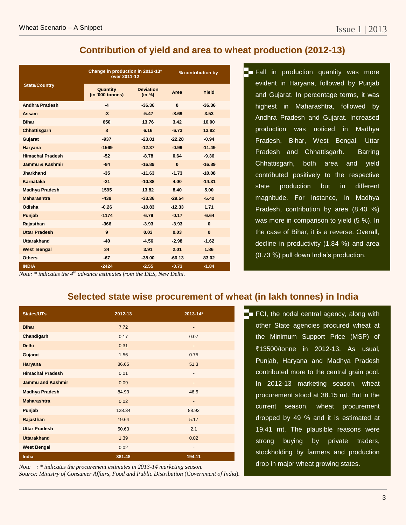#### **Contribution of yield and area to wheat production (2012-13)**

|                         | Change in production in 2012-13*<br>over 2011-12 |                            | % contribution by |          |  |
|-------------------------|--------------------------------------------------|----------------------------|-------------------|----------|--|
| <b>State/Country</b>    | Quantity<br>(in '000 tonnes)                     | <b>Deviation</b><br>(in %) | Area              | Yield    |  |
| <b>Andhra Pradesh</b>   | -4                                               | $-36.36$                   | $\bf{0}$          | $-36.36$ |  |
| Assam                   | $-3$                                             | $-5.47$                    | $-8.69$           | 3.53     |  |
| <b>Bihar</b>            | 650                                              | 13.76                      | 3.42              | 10.00    |  |
| Chhattisgarh            | 8                                                | 6.16                       | $-6.73$           | 13.82    |  |
| Gujarat                 | $-937$                                           | $-23.01$                   | $-22.28$          | $-0.94$  |  |
| <b>Haryana</b>          | $-1569$                                          | $-12.37$                   | $-0.99$           | $-11.49$ |  |
| <b>Himachal Pradesh</b> | $-52$                                            | $-8.78$                    | 0.64              | $-9.36$  |  |
| Jammu & Kashmir         | $-84$                                            | $-16.89$                   | $\bf{0}$          | $-16.89$ |  |
| <b>Jharkhand</b>        | $-35$                                            | $-11.63$                   | $-1.73$           | $-10.08$ |  |
| Karnataka               | $-21$                                            | $-10.88$                   | 4.00              | $-14.31$ |  |
| <b>Madhya Pradesh</b>   | 1595                                             | 13.82                      | 8.40              | 5.00     |  |
| <b>Maharashtra</b>      | $-438$                                           | $-33.36$                   | $-29.54$          | $-5.42$  |  |
| Odisha                  | $-0.26$                                          | $-10.83$                   | $-12.33$          | 1.71     |  |
| Punjab                  | $-1174$                                          | $-6.79$                    | $-0.17$           | $-6.64$  |  |
| Rajasthan               | $-366$                                           | $-3.93$                    | $-3.93$           | $\bf{0}$ |  |
| <b>Uttar Pradesh</b>    | 9                                                | 0.03                       | 0.03              | $\bf{0}$ |  |
| <b>Uttarakhand</b>      | $-40$                                            | $-4.56$                    | $-2.98$           | $-1.62$  |  |
| <b>West Bengal</b>      | 34                                               | 3.91                       | 2.01              | 1.86     |  |
| <b>Others</b>           | $-67$                                            | $-38.00$                   | $-66.13$          | 83.02    |  |
| <b>INDIA</b>            | $-2424$                                          | $-2.55$                    | $-0.73$           | $-1.84$  |  |

Fall in production quantity was more evident in Haryana, followed by Punjab and Gujarat. In percentage terms, it was highest in Maharashtra, followed by Andhra Pradesh and Gujarat. Increased production was noticed in Madhya Pradesh, Bihar, West Bengal, Uttar Pradesh and Chhattisgarh. Barring Chhattisgarh, both area and yield contributed positively to the respective state production but in different magnitude. For instance, in Madhya Pradesh, contribution by area (8.40 %) was more in comparison to yield (5 %). In the case of Bihar, it is a reverse. Overall, decline in productivity (1.84 %) and area (0.73 %) pull down India's production.

*Note: \* indicates the 4th advance estimates from the DES, New Delhi.*

#### **Selected state wise procurement of wheat (in lakh tonnes) in India**

| <b>States/UTs</b>        | 2012-13 | 2013-14*                     |
|--------------------------|---------|------------------------------|
| <b>Bihar</b>             | 7.72    | $\overline{a}$               |
| Chandigarh               | 0.17    | 0.07                         |
| <b>Delhi</b>             | 0.31    |                              |
| Gujarat                  | 1.56    | 0.75                         |
| Haryana                  | 86.65   | 51.3                         |
| <b>Himachal Pradesh</b>  | 0.01    | $\qquad \qquad \blacksquare$ |
| <b>Jammu and Kashmir</b> | 0.09    |                              |
| <b>Madhya Pradesh</b>    | 84.93   | 46.5                         |
| <b>Maharashtra</b>       | 0.02    | $\overline{\phantom{a}}$     |
| Punjab                   | 128.34  | 88.92                        |
| Rajasthan                | 19.64   | 5.17                         |
| <b>Uttar Pradesh</b>     | 50.63   | 2.1                          |
| <b>Uttarakhand</b>       | 1.39    | 0.02                         |
| <b>West Bengal</b>       | 0.02    | $\qquad \qquad \blacksquare$ |
| India                    | 381.48  | 194.11                       |

*Note : \* indicates the procurement estimates in 2013-14 marketing season. Source: Ministry of Consumer Affairs, Food and Public Distribution* (*Government of India*)*.*

 $\Box$  FCI, the nodal central agency, along with other State agencies procured wheat at the Minimum Support Price (MSP) of `13500/tonne in 2012-13. As usual, Punjab, Haryana and Madhya Pradesh contributed more to the central grain pool. In 2012-13 marketing season, wheat procurement stood at 38.15 mt. But in the current season, wheat procurement dropped by 49 % and it is estimated at 19.41 mt. The plausible reasons were strong buying by private traders, stockholding by farmers and production drop in major wheat growing states.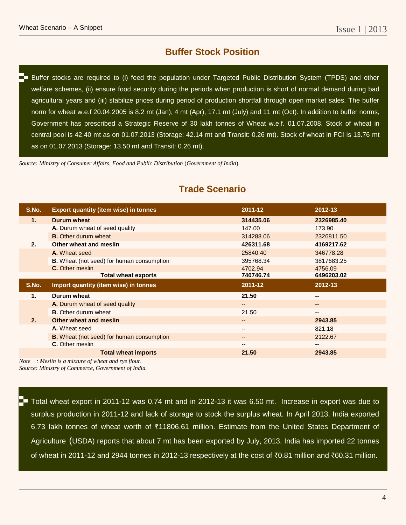#### **Buffer Stock Position**

**Buffer stocks are required to (i) feed the population under Targeted Public Distribution System (TPDS) and other** welfare schemes, (ii) ensure food security during the periods when production is short of normal demand during bad agricultural years and (iii) stabilize prices during period of production shortfall through open market sales. The buffer norm for wheat w.e.f 20.04.2005 is 8.2 mt (Jan), 4 mt (Apr), 17.1 mt (July) and 11 mt (Oct). In addition to buffer norms, Government has prescribed a Strategic Reserve of 30 lakh tonnes of Wheat w.e.f. 01.07.2008. Stock of wheat in central pool is 42.40 mt as on 01.07.2013 (Storage: 42.14 mt and Transit: 0.26 mt). Stock of wheat in FCI is 13.76 mt as on 01.07.2013 (Storage: 13.50 mt and Transit: 0.26 mt).

*Source: Ministry of Consumer Affairs, Food and Public Distribution* (*Government of India*)*.*

| S.No. | <b>Export quantity (item wise) in tonnes</b>     | 2011-12   | 2012-13                |  |
|-------|--------------------------------------------------|-----------|------------------------|--|
| 1.    | Durum wheat                                      | 314435.06 | 2326985.40             |  |
|       | A. Durum wheat of seed quality                   | 147.00    | 173.90                 |  |
|       | <b>B.</b> Other durum wheat                      | 314288.06 | 2326811.50             |  |
| 2.    | Other wheat and meslin                           | 426311.68 | 4169217.62             |  |
|       | A. Wheat seed                                    | 25840.40  | 346778.28              |  |
|       | <b>B.</b> Wheat (not seed) for human consumption | 395768.34 | 3817683.25             |  |
|       | <b>C.</b> Other meslin                           | 4702.94   | 4756.09                |  |
|       | <b>Total wheat exports</b>                       | 740746.74 | 6496203.02             |  |
|       |                                                  |           |                        |  |
| S.No. | Import quantity (item wise) in tonnes            | 2011-12   | 2012-13                |  |
| 1.    | Durum wheat                                      | 21.50     | --                     |  |
|       | A. Durum wheat of seed quality                   | $- -$     | $\qquad \qquad \cdots$ |  |
|       | <b>B.</b> Other durum wheat                      | 21.50     | --                     |  |
| 2.    | Other wheat and meslin                           | --        | 2943.85                |  |
|       | A. Wheat seed                                    | $- -$     | 821.18                 |  |
|       | <b>B.</b> Wheat (not seed) for human consumption | $- -$     | 2122.67                |  |
|       | <b>C.</b> Other meslin                           | --        | $- -$                  |  |

#### **Trade Scenario**

*Note : Meslin is a mixture of wheat and rye flour. Source: Ministry of Commerce, Government of India.*

The Total wheat export in 2011-12 was 0.74 mt and in 2012-13 it was 6.50 mt. Increase in export was due to surplus production in 2011-12 and lack of storage to stock the surplus wheat. In April 2013, India exported 6.73 lakh tonnes of wheat worth of ₹11806.61 million. Estimate from the United States Department of Agriculture (USDA) reports that about 7 mt has been exported by July, 2013. India has imported 22 tonnes of wheat in 2011-12 and 2944 tonnes in 2012-13 respectively at the cost of ₹0.81 million and ₹60.31 million.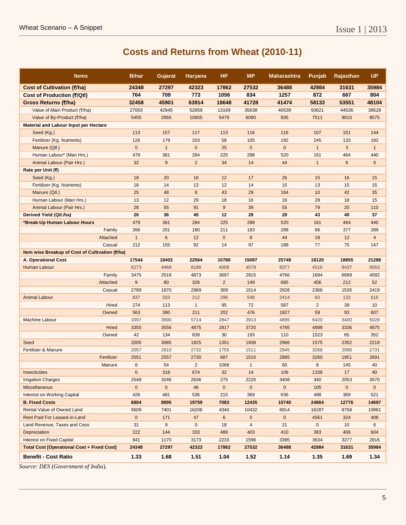## **Costs and Returns from Wheat (2010-11)**

| <b>Items</b>                                      | <b>Bihar</b>         | Gujarat      | <b>Haryana</b> | <b>HP</b>      | <b>MP</b>               | <b>Maharashtra</b> | Punjab         | <b>Rajasthan</b> | <b>UP</b>      |
|---------------------------------------------------|----------------------|--------------|----------------|----------------|-------------------------|--------------------|----------------|------------------|----------------|
| Cost of Cultivation (₹/ha)                        | 24348                | 27297        | 42323          | 17862          | 27532                   | 36488              | 42984          | 31631            | 35984          |
| Cost of Production (₹/Qtl)                        | 764                  | 709          | 773            | 1056           | 834                     | 1257               | 872            | 667              | 804            |
| Gross Returns (₹/ha)                              | 32458                | 45901        | 63914          | 18648          | 41728                   | 41474              | 58133          | 53551            | 48104          |
| Value of Main Product (₹/ha)                      | 27003                | 42945        | 52959          | 13169          | 35638                   | 40539              | 50621          | 44536            | 39529          |
| Value of By-Product (₹/ha)                        | 5455                 | 2955         | 10955          | 5479           | 6090                    | 935                | 7511           | 9015             | 8575           |
| Material and Labour Input per Hectare             |                      |              |                |                |                         |                    |                |                  |                |
| Seed (Kg.)                                        | 113                  | 157          | 117            | 113            | 116                     | 116                | 107            | 151              | 144            |
| Fertilizer (Kg. Nutrients)                        | 126                  | 179          | 203            | 58             | 105                     | 192                | 245            | 133              | 182            |
| Manure (Qtl.)                                     | $\mathbf{0}$         | $\mathbf{1}$ | $\mathbf 0$    | 25             | $\mathbf 0$             | $\mathbf 0$        | $\mathbf{1}$   | 3                | $\mathbf{1}$   |
| Human Labour* (Man Hrs.)                          | 479                  | 361          | 284            | 225            | 288                     | 520                | 161            | 464              | 440            |
| Animal Labour (Pair Hrs.)                         | 32                   | 9            | $\overline{2}$ | 34             | 14                      | 44                 | $\mathbf{1}$   | 6                | 6              |
| Rate per Unit (₹)                                 |                      |              |                |                |                         |                    |                |                  |                |
| Seed (Kg.)                                        | 18                   | 20           | 16             | 12             | 17                      | 26                 | 15             | 16               | 15             |
| Fertilizer (Kg. Nutrients)                        | 16                   | 14           | 13             | 12             | 14                      | 15                 | 13             | 15               | 15             |
| Manure (Qtl.)                                     | 25                   | 48           | 8              | 43             | 29                      | 184                | 10             | 42               | 35             |
| Human Labour (Man Hrs.)                           | 13                   | 12           | 29             | 18             | 16                      | 16                 | 28             | 18               | 15             |
| Animal Labour (Pair Hrs.)                         | 26                   | 55           | 91             | 9              | 39                      | 55                 | 79             | 20               | 110            |
| Derived Yield (Qtl./ha)                           | 26                   | 36           | 45             | 12             | 28                      | 28                 | 43             | 40               | 37             |
| *Break-Up Human Labour Hours                      | 479                  | 361          | 284            | 225            | 288                     | 520                | 161            | 464              | 440            |
| Family                                            | 266                  | 201          | 180            | 211            | 183                     | 288                | 66             | 377              | 289            |
| Attached                                          | $\mathbf{1}$         | 6            | 12             | $\mathbf 0$    | $\bf 8$                 | 44                 | 18             | 12               | 4              |
| Casual                                            | 212                  | 155          | 92             | 14             | 97                      | 188                | 77             | 75               | 147            |
| Item wise Breakup of Cost of Cultivation (₹/ha)   |                      |              |                |                |                         |                    |                |                  |                |
| A. Operational Cost                               | 17544                | 18402        | 22564          | 10780          | 15097                   | 25748              | 18120          | 18855            | 21288          |
| Human Labour                                      | 6273                 | 4468         | 8188           | 4008           | 4579                    | 8377               | 4516           | 8437             | 6563           |
|                                                   | Family<br>3475       | 2518         | 4873           | 3697           | 2915                    | 4766               | 1694           | 6689             | 4092           |
| Attached                                          | 9                    | 80           | 326            | $\overline{2}$ | 149                     | 685                | 456            | 212              | 52             |
| Casual                                            | 2789                 | 1870         | 2989           | 309            | 1514                    | 2926               | 2366           | 1535             | 2419           |
| <b>Animal Labour</b>                              | 837                  | 503          | 212            | 296            | 548                     | 2414               | 60             | 132              | 616            |
|                                                   | Hired<br>274         | 113          | $\mathbf{1}$   | 95             | 72                      | 587                | $\overline{a}$ | 39               | 10             |
| Owned                                             | 563                  | 390          | 211            | 202            | 476                     | 1827               | 59             | 93               | 607            |
| Machine Labour                                    | 3397                 | 3690         | 5714           | 2847           | 3913                    | 4895               | 6420           | 3400             | 5028           |
|                                                   | <b>Hired</b><br>3355 | 3556         | 4875           | 2817           | 3720                    | 4785               | 4898           | 3336             | 4675           |
| Owned                                             | 42                   | 134          | 839            | 30             | 193                     | 110                | 1523           | 65               | 352            |
| Seed                                              | 2005                 | 3085         | 1825           | 1351           | 1938                    | 2966               | 1575           | 2352             | 2218           |
| Fertilizer & Manure                               | 2057                 | 2610         | 2732           | 1755           | 1511                    | 2945               | 3268           | 2096             | 2731           |
| Fertilizer                                        | 2051                 | 2557         | 2730           | 687            | 1510                    | 2885               | 3260           | 1951             | 2691           |
| Manure                                            | 6                    | 54           | $\overline{2}$ | 1068           | $\mathbf{1}$            | 60                 | 8              | 145              | 40             |
| Insecticides                                      | $\mathbf{0}$         | 318          | 674            | 32             | 14                      | 106                | 1338           | 17               | 40             |
| <b>Irrigation Charges</b>                         | 2549                 | 3246         | 2636           | 275            | 2226                    | 3408               | 340            | 2053             | 3570           |
| <b>Miscellaneous</b>                              | $\mathbf{0}$         | $\mathbf 0$  | 46             | $\overline{0}$ | $\overline{0}$          | $\mathbf{0}$       | 105            | $\overline{0}$   | $\overline{0}$ |
| Interest on Working Capital                       | 426                  | 481          | 536            | 215            | 369                     | 636                | 498            | 369              | 521            |
| <b>B. Fixed Costs</b>                             | 6804                 | 8895         | 19759          | 7083           | 12435                   | 10740              | 24864          | 12776            | 14697          |
| Rental Value of Owned Land                        | 5609                 | 7401         | 16206          | 4340           | 10432                   | 6914               | 16287          | 8758             | 10861          |
| Rent Paid For Leased-in-Land                      | $\pmb{0}$            | 171          | 47             | 6              | $\pmb{0}$               | $\pmb{0}$          | 4561           | 324              | 408            |
| Land Revenue, Taxes and Cess                      | 31                   | 9            | 0              | 18             | $\overline{\mathbf{4}}$ | 21                 | 0              | 10               | 6              |
| Depreciation                                      | 222                  | 144          | 333            | 486            | 403                     | 410                | 383            | 406              | 604            |
| Interest on Fixed Capital                         | 941                  | 1170         | 3173           | 2233           | 1596                    | 3395               | 3634           | 3277             | 2816           |
| <b>Total Cost [Operational Cost + Fixed Cost]</b> | 24348                | 27297        | 42323          | 17862          | 27532                   | 36488              | 42984          | 31631            | 35984          |
| <b>Benefit - Cost Ratio</b>                       | 1.33                 | 1.68         | 1.51           | 1.04           | 1.52                    | 1.14               | 1.35           | 1.69             | 1.34           |

*Source: DES* (*Government of India*)*.*